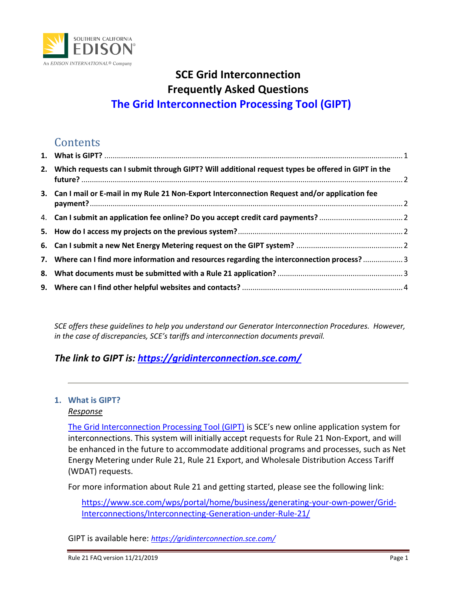

## **SCE Grid Interconnection Frequently Asked Questions The Grid Interconnection Processing Tool (GIPT)**

## **Contents**

| 2. Which requests can I submit through GIPT? Will additional request types be offered in GIPT in the |  |
|------------------------------------------------------------------------------------------------------|--|
| 3. Can I mail or E-mail in my Rule 21 Non-Export Interconnection Request and/or application fee      |  |
|                                                                                                      |  |
|                                                                                                      |  |
|                                                                                                      |  |
| 7. Where can I find more information and resources regarding the interconnection process?3           |  |
|                                                                                                      |  |
|                                                                                                      |  |

*SCE offers these guidelines to help you understand our Generator Interconnection Procedures. However, in the case of discrepancies, SCE's tariffs and interconnection documents prevail.*

### *The link to GIPT is: [https://gridinterconnection.sce.com/](https://gridinterconnection.sce.com/prweb?AppName=GIPT)*

### <span id="page-0-0"></span>**1. What is GIPT?**  *Response*

[The Grid Interconnection Processing Tool \(GIPT\)](https://gridinterconnection.sce.com/prweb?AppName=GIPT) is SCE's new online application system for interconnections. This system will initially accept requests for Rule 21 Non-Export, and will be enhanced in the future to accommodate additional programs and processes, such as Net Energy Metering under Rule 21, Rule 21 Export, and Wholesale Distribution Access Tariff (WDAT) requests.

For more information about Rule 21 and getting started, please see the following link:

[https://www.sce.com/wps/portal/home/business/generating-your-own-power/Grid-](https://www.sce.com/wps/portal/home/business/generating-your-own-power/Grid-Interconnections/Interconnecting-Generation-under-Rule-21/)[Interconnections/Interconnecting-Generation-under-Rule-21/](https://www.sce.com/wps/portal/home/business/generating-your-own-power/Grid-Interconnections/Interconnecting-Generation-under-Rule-21/)

GIPT is available here: *[https://gridinterconnection.sce.com/](https://gridinterconnection.sce.com/prweb?AppName=GIPT)*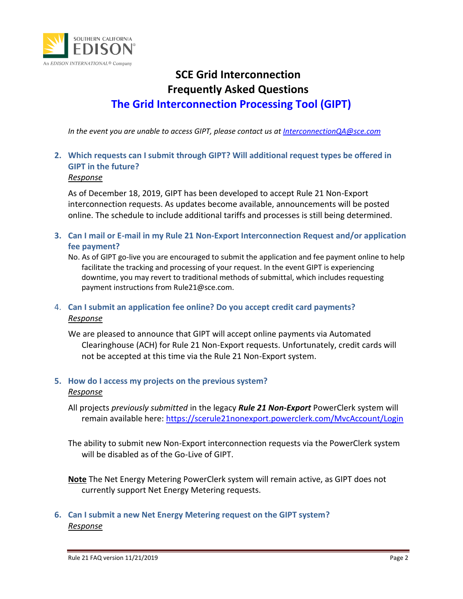

## **SCE Grid Interconnection Frequently Asked Questions The Grid Interconnection Processing Tool (GIPT)**

*In the event you are unable to access GIPT, please contact us at [InterconnectionQA@sce.com](mailto:InterconnectionQA@sce.com)*

## <span id="page-1-0"></span>**2. Which requests can I submit through GIPT? Will additional request types be offered in GIPT in the future?**

### *Response*

As of December 18, 2019, GIPT has been developed to accept Rule 21 Non-Export interconnection requests. As updates become available, announcements will be posted online. The schedule to include additional tariffs and processes is still being determined.

- <span id="page-1-1"></span>**3. Can I mail or E-mail in my Rule 21 Non-Export Interconnection Request and/or application fee payment?**
	- No. As of GIPT go-live you are encouraged to submit the application and fee payment online to help facilitate the tracking and processing of your request. In the event GIPT is experiencing downtime, you may revert to traditional methods of submittal, which includes requesting payment instructions from Rule21@sce.com.
- <span id="page-1-2"></span>4. **Can I submit an application fee online? Do you accept credit card payments?** *Response*

We are pleased to announce that GIPT will accept online payments via Automated Clearinghouse (ACH) for Rule 21 Non-Export requests. Unfortunately, credit cards will not be accepted at this time via the Rule 21 Non-Export system.

### <span id="page-1-3"></span>**5. How do I access my projects on the previous system?** *Response*

All projects *previously submitted* in the legacy *Rule 21 Non-Export* PowerClerk system will remain available here:<https://scerule21nonexport.powerclerk.com/MvcAccount/Login>

The ability to submit new Non-Export interconnection requests via the PowerClerk system will be disabled as of the Go-Live of GIPT.

**Note** The Net Energy Metering PowerClerk system will remain active, as GIPT does not currently support Net Energy Metering requests.

### <span id="page-1-4"></span>**6. Can I submit a new Net Energy Metering request on the GIPT system?** *Response*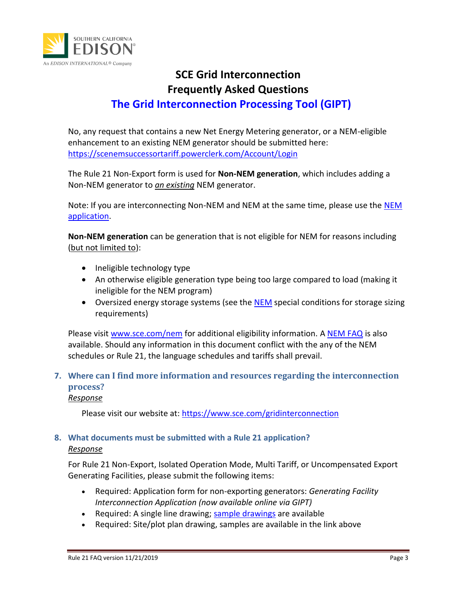

# **SCE Grid Interconnection Frequently Asked Questions**

# **The Grid Interconnection Processing Tool (GIPT)**

No, any request that contains a new Net Energy Metering generator, or a NEM-eligible enhancement to an existing NEM generator should be submitted here: <https://scenemsuccessortariff.powerclerk.com/Account/Login>

The Rule 21 Non-Export form is used for **Non-NEM generation**, which includes adding a Non-NEM generator to *an existing* NEM generator.

Note: If you are interconnecting Non-NEM and NEM at the same time, please use the [NEM](https://scenemsuccessortariff.powerclerk.com/Account/Login)  [application.](https://scenemsuccessortariff.powerclerk.com/Account/Login)

**Non-NEM generation** can be generation that is not eligible for NEM for reasons including (but not limited to):

- Ineligible technology type
- An otherwise eligible generation type being too large compared to load (making it ineligible for the NEM program)
- Oversized energy storage systems (see the [NEM](https://library.sce.com/content/dam/sce-doclib/public/regulatory/tariff/electric/schedules/other-rates/ELECTRIC_SCHEDULES_NEM-ST.pdf) special conditions for storage sizing requirements)

Please visit [www.sce.com/nem](http://www.sce.com/nem) for additional eligibility information. [A NEM FAQ](https://www.sce.com/sites/default/files/custom-files/pdf/5527_SCE_IneractiveFAQ_AA.pdf) is also available. Should any information in this document conflict with the any of the NEM schedules or Rule 21, the language schedules and tariffs shall prevail.

## <span id="page-2-0"></span>**7. Where can I find more information and resources regarding the interconnection process?**

### *Response*

Please visit our website at: [https://www.sce.com/gridinterconnection](https://www.sce.com/wps/portal/home/business/generating-your-own-power/Grid-Interconnections/)

### <span id="page-2-1"></span>**8. What documents must be submitted with a Rule 21 application?** *Response*

For Rule 21 Non-Export, Isolated Operation Mode, Multi Tariff, or Uncompensated Export Generating Facilities, please submit the following items:

- Required: Application form for non-exporting generators: *Generating Facility Interconnection Application (now available online via GIPT)*
- Required: A single line drawing[; sample drawings](https://www.sce.com/wps/wcm/connect/0c7ef508-785a-4257-9378-24beffd0fc01/Grid+Interconnection+Sample+Drawings+Sept+2015_AA.pdf?MOD=AJPERES&projectid=2e36cf30-2487-49d0-9f1b-69a6177f0831&projectid=2e36cf30-2487-49d0-9f1b-69a6177f0831&projectid=2e36cf30-2487-49d0-9f1b-69a6177f0831) are available
- Required: Site/plot plan drawing, samples are available in the link above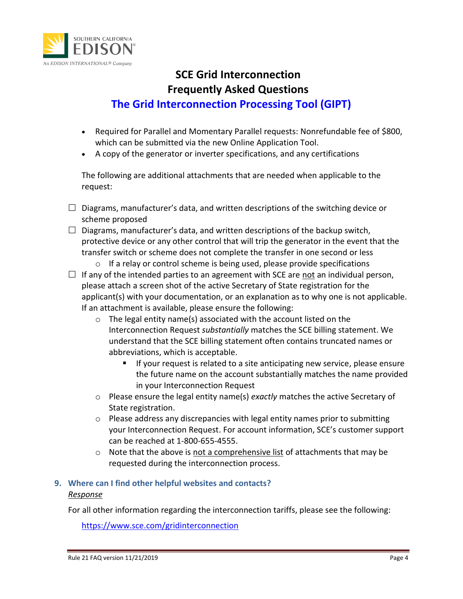

## **SCE Grid Interconnection Frequently Asked Questions**

## **The Grid Interconnection Processing Tool (GIPT)**

- Required for Parallel and Momentary Parallel requests: Nonrefundable fee of \$800, which can be submitted via the new Online Application Tool.
- A copy of the generator or inverter specifications, and any certifications

The following are additional attachments that are needed when applicable to the request:

- $\Box$  Diagrams, manufacturer's data, and written descriptions of the switching device or scheme proposed
- $\Box$  Diagrams, manufacturer's data, and written descriptions of the backup switch, protective device or any other control that will trip the generator in the event that the transfer switch or scheme does not complete the transfer in one second or less
	- o If a relay or control scheme is being used, please provide specifications
- $\Box$  If any of the intended parties to an agreement with SCE are not an individual person, please attach a screen shot of the active Secretary of State registration for the applicant(s) with your documentation, or an explanation as to why one is not applicable. If an attachment is available, please ensure the following:
	- o The legal entity name(s) associated with the account listed on the Interconnection Request *substantially* matches the SCE billing statement. We understand that the SCE billing statement often contains truncated names or abbreviations, which is acceptable.
		- If your request is related to a site anticipating new service, please ensure the future name on the account substantially matches the name provided in your Interconnection Request
	- o Please ensure the legal entity name(s) *exactly* matches the active Secretary of State registration.
	- $\circ$  Please address any discrepancies with legal entity names prior to submitting your Interconnection Request. For account information, SCE's customer support can be reached at 1-800-655-4555.
	- $\circ$  Note that the above is not a comprehensive list of attachments that may be requested during the interconnection process.

### <span id="page-3-0"></span>**9. Where can I find other helpful websites and contacts?** *Response*

For all other information regarding the interconnection tariffs, please see the following:

[https://www.sce.com/gridinterconnection](https://www.sce.com/wps/portal/home/business/generating-your-own-power/Grid-Interconnections/)